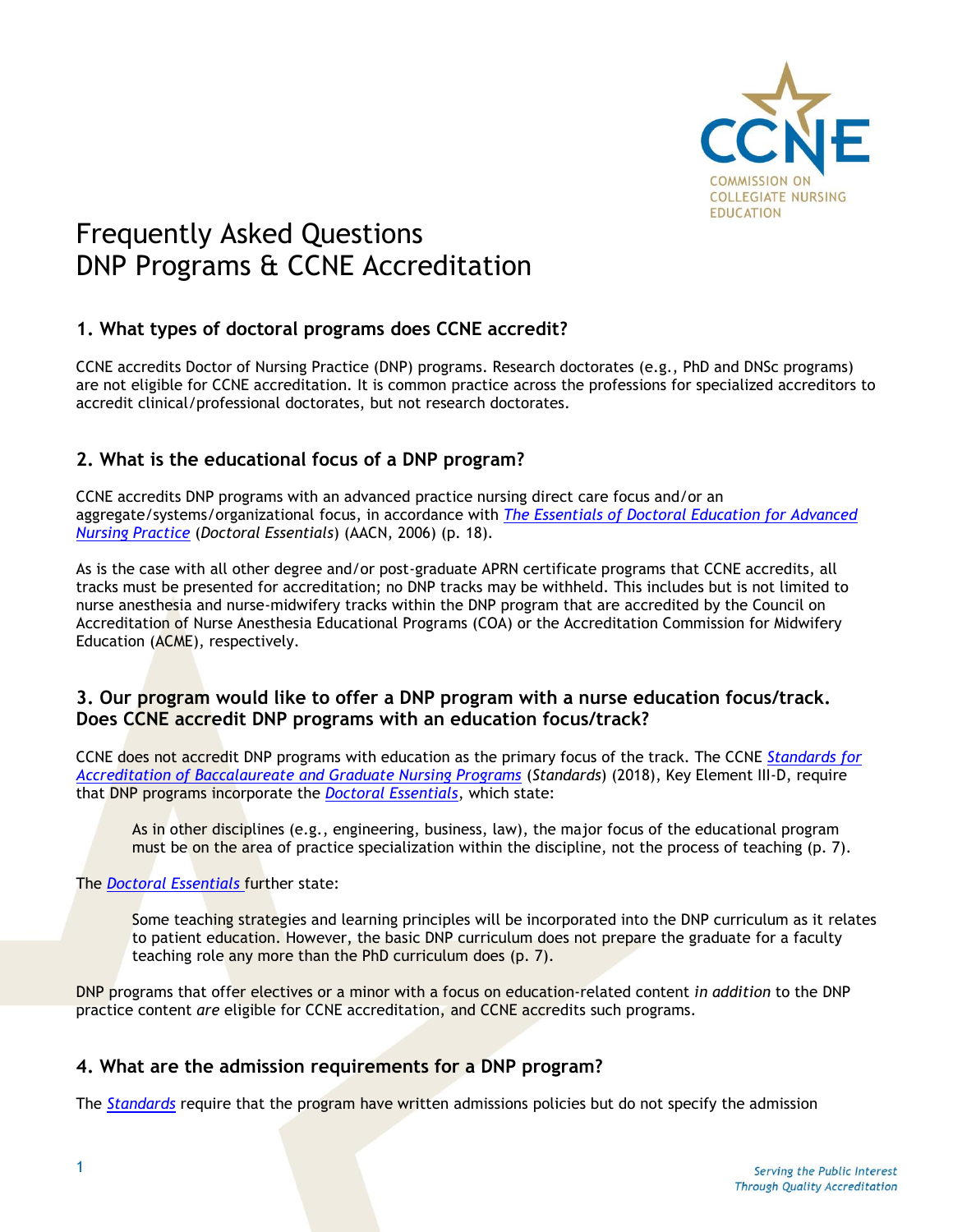

# Frequently Asked Questions DNP Programs & CCNE Accreditation

# **1. What types of doctoral programs does CCNE accredit?**

CCNE accredits Doctor of Nursing Practice (DNP) programs. Research doctorates (e.g., PhD and DNSc programs) are not eligible for CCNE accreditation. It is common practice across the professions for specialized accreditors to accredit clinical/professional doctorates, but not research doctorates.

# **2. What is the educational focus of a DNP program?**

CCNE accredits DNP programs with an advanced practice nursing direct care focus and/or an aggregate/systems/organizational focus, in accordance with *The Essentials of Doctoral [Education](https://www.aacnnursing.org/Portals/42/Publications/DNPEssentials.pdf) for Advanced [Nursing Practice](https://www.aacnnursing.org/Portals/42/Publications/DNPEssentials.pdf)* (*Doctoral Essentials*) (AACN, 2006) (p. 18).

As is the case with all other degree and/or post-graduate APRN certificate programs that CCNE accredits, all tracks must be presented for accreditation; no DNP tracks may be withheld. This includes but is not limited to nurse anesthesia and nurse-midwifery tracks within the DNP program that are accredited by the Council on Accreditation of Nurse Anesthesia Educational Programs (COA) or the Accreditation Commission for Midwifery Education (ACME), respectively.

### **3. Our program would like to offer a DNP program with a nurse education focus/track. Does CCNE accredit DNP programs with an education focus/track?**

CCNE does not accredit DNP programs with education as the primary focus of the track. The CCNE *[Standards for](https://www.aacnnursing.org/Portals/42/CCNE/PDF/Standards-Final-2018.pdf)  [Accreditation of Baccalaureate and Graduate Nursing Programs](https://www.aacnnursing.org/Portals/42/CCNE/PDF/Standards-Final-2018.pdf)* (*Standards*) (2018), Key Element III-D, require that DNP programs incorporate the *Doctoral [Essentials](https://www.aacnnursing.org/Portals/42/Publications/DNPEssentials.pdf)*, which state:

As in other disciplines (e.g., engineering, business, law), the major focus of the educational program must be on the area of practice specialization within the discipline, not the process of teaching (p. 7).

#### The *Doctoral [Essentials](https://www.aacnnursing.org/Portals/42/Publications/DNPEssentials.pdf)* further state:

Some teaching strategies and learning principles will be incorporated into the DNP curriculum as it relates to patient education. However, the basic DNP curriculum does not prepare the graduate for a faculty teaching role any more than the PhD curriculum does (p. 7).

DNP programs that offer electives or a minor with a focus on education-related content *in addition* to the DNP practice content *are* eligible for CCNE accreditation, and CCNE accredits such programs.

## **4. What are the admission requirements for a DNP program?**

The *[Standards](https://www.aacnnursing.org/Portals/42/CCNE/PDF/Standards-Final-2018.pdf)* require that the program have written admissions policies but do not specify the admission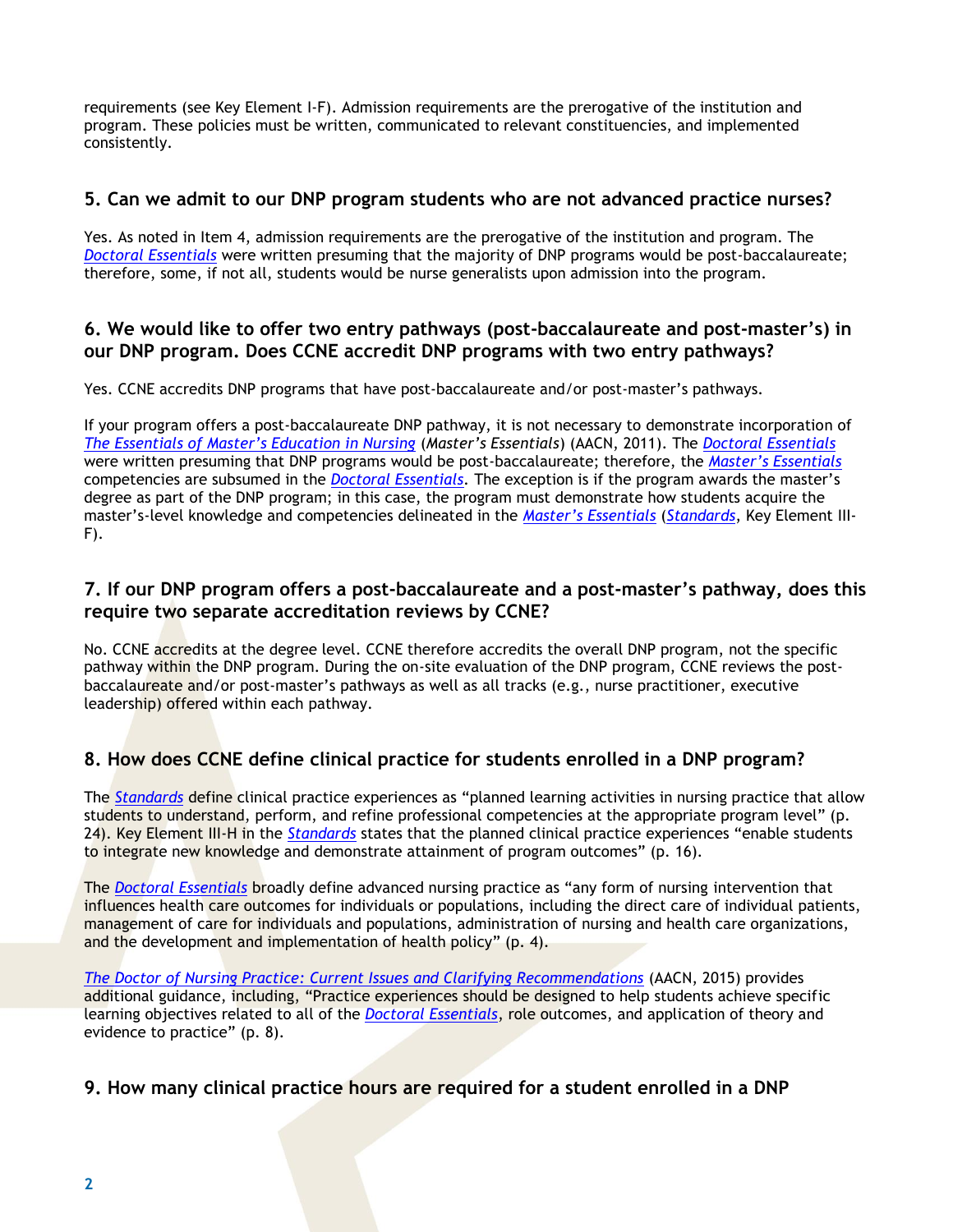requirements (see Key Element I-F). Admission requirements are the prerogative of the institution and program. These policies must be written, communicated to relevant constituencies, and implemented consistently.

#### **5. Can we admit to our DNP program students who are not advanced practice nurses?**

Yes. As noted in Item 4, admission requirements are the prerogative of the institution and program. The *[Doctoral Essentials](https://www.aacnnursing.org/Portals/42/Publications/DNPEssentials.pdf)* were written presuming that the majority of DNP programs would be post-baccalaureate; therefore, some, if not all, students would be nurse generalists upon admission into the program.

## **6. We would like to offer two entry pathways (post-baccalaureate and post-master's) in our DNP program. Does CCNE accredit DNP programs with two entry pathways?**

Yes. CCNE accredits DNP programs that have post-baccalaureate and/or post-master's pathways.

If your program offers a post-baccalaureate DNP pathway, it is not necessary to demonstrate incorporation of *[The Essentials of Master's Education in Nursing](https://www.aacnnursing.org/Portals/42/Publications/MastersEssentials11.pdf)* (*Master's Essentials*) (AACN, 2011). The *[Doctoral Essentials](https://www.aacnnursing.org/Portals/42/Publications/DNPEssentials.pdf)* were written presuming that DNP programs would be post-baccalaureate; therefore, the *[Master's Essentials](https://www.aacnnursing.org/Portals/42/Publications/MastersEssentials11.pdf)* competencies are subsumed in the *Doctoral Essentials*. The exception is if the program awards the master's degree as part of the DNP program; in this case, the program must demonstrate how students acquire the master's-level knowledge and competencies delineated in the *[Master's Essentials](https://www.aacnnursing.org/Portals/42/Publications/MastersEssentials11.pdf)* (*[Standards](https://www.aacnnursing.org/Portals/42/CCNE/PDF/Standards-Final-2018.pdf)*, Key Element III-F).

### **7. If our DNP program offers a post-baccalaureate and a post-master's pathway, does this require two separate accreditation reviews by CCNE?**

No. CCNE accredits at the degree level. CCNE therefore accredits the overall DNP program, not the specific pathway within the DNP program. During the on-site evaluation of the DNP program, CCNE reviews the postbaccalaureate and/or post-master's pathways as well as all tracks (e.g., nurse practitioner, executive leadership) offered within each pathway.

# **8. How does CCNE define clinical practice for students enrolled in a DNP program?**

The *[Standards](https://www.aacnnursing.org/Portals/42/CCNE/PDF/Standards-Final-2018.pdf)* define clinical practice experiences as "planned learning activities in nursing practice that allow students to understand, perform, and refine professional competencies at the appropriate program level" (p. 24). Key Element III-H in the *[Standards](https://www.aacnnursing.org/Portals/42/CCNE/PDF/Standards-Final-2018.pdf)* states that the planned clinical practice experiences "enable students to integrate new knowledge and demonstrate attainment of program outcomes" (p. 16).

The *[Doctoral Essentials](https://www.aacnnursing.org/Portals/42/Publications/DNPEssentials.pdf)* broadly define advanced nursing practice as "any form of nursing intervention that influences health care outcomes for individuals or populations, including the direct care of individual patients, management of care for individuals and populations, administration of nursing and health care organizations, and the development and implementation of health policy" (p. 4).

*[The Doctor of Nursing Practice: Current Issues and Clarifying Recommendations](https://www.aacnnursing.org/Portals/42/DNP/DNP-Implementation.pdf)* (AACN, 2015) provides additional guidance, including, "Practice experiences should be designed to help students achieve specific learning objectives related to all of the *[Doctoral Essentials](https://www.aacnnursing.org/Portals/42/Publications/DNPEssentials.pdf)*, role outcomes, and application of theory and evidence to practice" (p. 8).

## **9. How many clinical practice hours are required for a student enrolled in a DNP**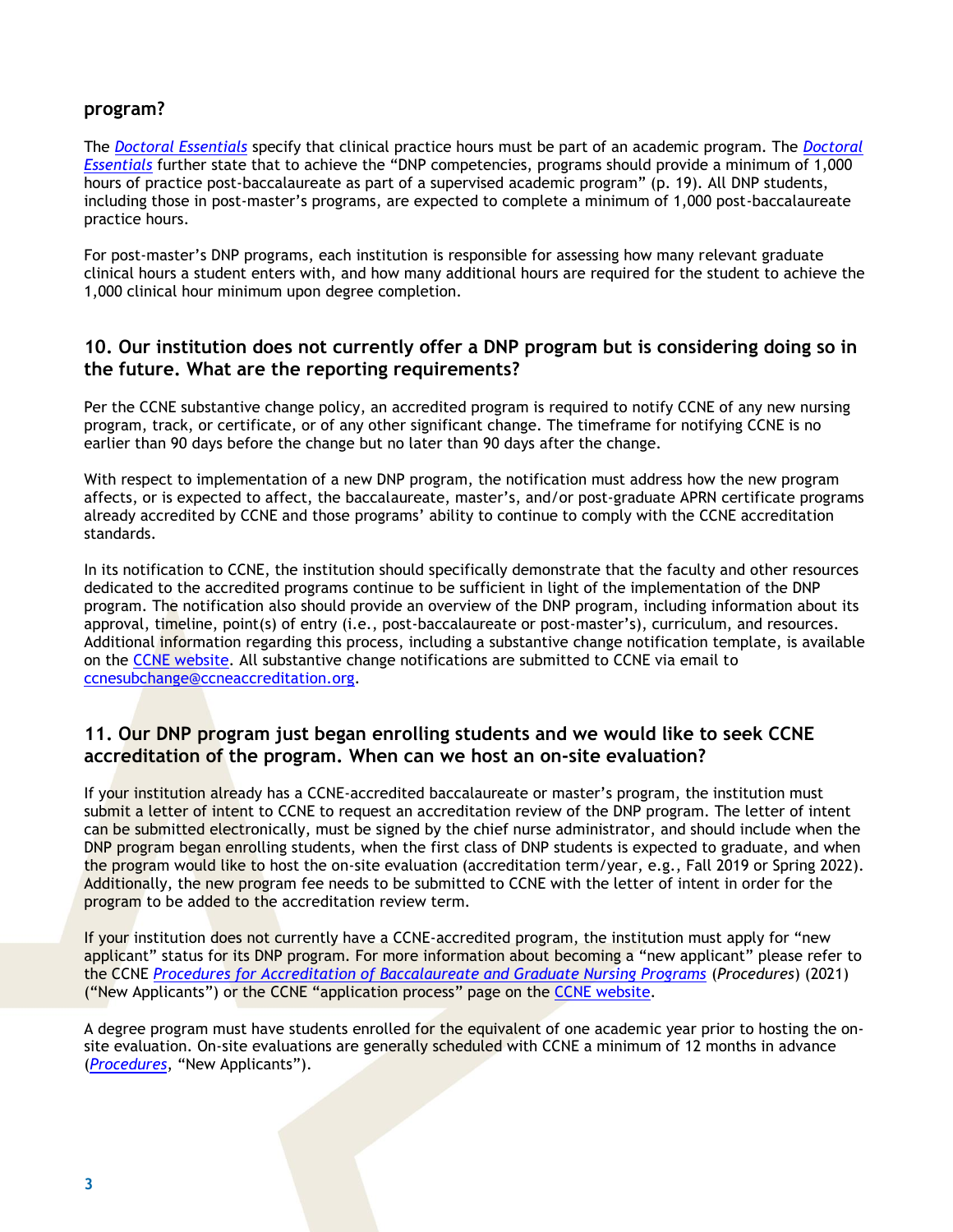#### **program?**

The *[Doctoral Essentials](https://www.aacnnursing.org/Portals/42/Publications/DNPEssentials.pdf)* specify that clinical practice hours must be part of an academic program. The *[Doctoral](https://www.aacnnursing.org/Portals/42/Publications/DNPEssentials.pdf)  [Essentials](https://www.aacnnursing.org/Portals/42/Publications/DNPEssentials.pdf)* further state that to achieve the "DNP competencies, programs should provide a minimum of 1,000 hours of practice post-baccalaureate as part of a supervised academic program" (p. 19). All DNP students, including those in post-master's programs, are expected to complete a minimum of 1,000 post-baccalaureate practice hours.

For post-master's DNP programs, each institution is responsible for assessing how many relevant graduate clinical hours a student enters with, and how many additional hours are required for the student to achieve the 1,000 clinical hour minimum upon degree completion.

#### **10. Our institution does not currently offer a DNP program but is considering doing so in the future. What are the reporting requirements?**

Per the CCNE substantive change policy, an accredited program is required to notify CCNE of any new nursing program, track, or certificate, or of any other significant change. The timeframe for notifying CCNE is no earlier than 90 days before the change but no later than 90 days after the change.

With respect to implementation of a new DNP program, the notification must address how the new program affects, or is expected to affect, the baccalaureate, master's, and/or post-graduate APRN certificate programs already accredited by CCNE and those programs' ability to continue to comply with the CCNE accreditation standards.

In its notification to CCNE, the institution should specifically demonstrate that the faculty and other resources dedicated to the accredited programs continue to be sufficient in light of the implementation of the DNP program. The notification also should provide an overview of the DNP program, including information about its approval, timeline, point(s) of entry (i.e., post-baccalaureate or post-master's), curriculum, and resources. Additional information regarding this process, including a substantive change notification template, is available on the [CCNE website.](https://www.aacnnursing.org/CCNE-Accreditation/What-We-Do/Bacc-Graduate-Change-Notifications) All substantive change notifications are submitted to CCNE via email to [ccnesubchange@ccneaccreditation.org.](mailto:ccnesubchange@ccneaccreditation.org)

#### **11. Our DNP program just began enrolling students and we would like to seek CCNE accreditation of the program. When can we host an on-site evaluation?**

If your institution already has a CCNE-accredited baccalaureate or master's program, the institution must submit a letter of intent to CCNE to request an accreditation review of the DNP program. The letter of intent can be submitted electronically, must be signed by the chief nurse administrator, and should include when the DNP program began enrolling students, when the first class of DNP students is expected to graduate, and when the program would like to host the on-site evaluation (accreditation term/year, e.g., Fall 2019 or Spring 2022). Additionally, the new program fee needs to be submitted to CCNE with the letter of intent in order for the program to be added to the accreditation review term.

If your institution does not currently have a CCNE-accredited program, the institution must apply for "new applicant" status for its DNP program. For more information about becoming a "new applicant" please refer to the CCNE *[Procedures for Accreditation of Baccalaureate and Graduate Nursing Programs](https://www.aacnnursing.org/Portals/42/CCNE/PDF/Procedures.pdf)* (*Procedures*) (2021) ("New Applicants") or the CCNE "application process" page on the [CCNE website.](https://www.aacnnursing.org/CCNE-Accreditation/What-We-Do/Bacc-Grad-Application-Process)

A degree program must have students enrolled for the equivalent of one academic year prior to hosting the onsite evaluation. On-site evaluations are generally scheduled with CCNE a minimum of 12 months in advance (*[Procedures](https://www.aacnnursing.org/Portals/42/CCNE/PDF/Procedures.pdf)*, "New Applicants").